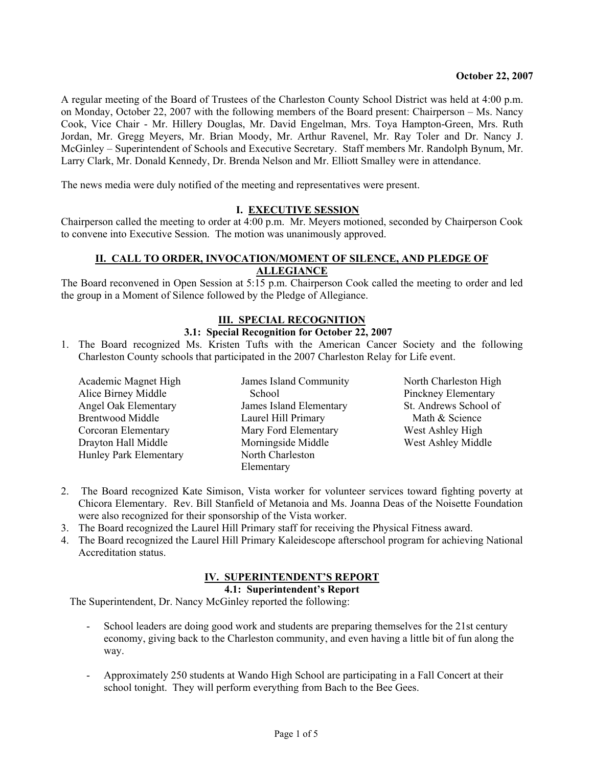A regular meeting of the Board of Trustees of the Charleston County School District was held at 4:00 p.m. on Monday, October 22, 2007 with the following members of the Board present: Chairperson – Ms. Nancy Cook, Vice Chair - Mr. Hillery Douglas, Mr. David Engelman, Mrs. Toya Hampton-Green, Mrs. Ruth Jordan, Mr. Gregg Meyers, Mr. Brian Moody, Mr. Arthur Ravenel, Mr. Ray Toler and Dr. Nancy J. McGinley – Superintendent of Schools and Executive Secretary. Staff members Mr. Randolph Bynum, Mr. Larry Clark, Mr. Donald Kennedy, Dr. Brenda Nelson and Mr. Elliott Smalley were in attendance.

The news media were duly notified of the meeting and representatives were present.

## **I. EXECUTIVE SESSION**

Chairperson called the meeting to order at 4:00 p.m. Mr. Meyers motioned, seconded by Chairperson Cook to convene into Executive Session. The motion was unanimously approved.

## **II. CALL TO ORDER, INVOCATION/MOMENT OF SILENCE, AND PLEDGE OF ALLEGIANCE**

The Board reconvened in Open Session at 5:15 p.m. Chairperson Cook called the meeting to order and led the group in a Moment of Silence followed by the Pledge of Allegiance.

# **III. SPECIAL RECOGNITION**

## **3.1: Special Recognition for October 22, 2007**

1. The Board recognized Ms. Kristen Tufts with the American Cancer Society and the following Charleston County schools that participated in the 2007 Charleston Relay for Life event.

Academic Magnet High Alice Birney Middle Angel Oak Elementary Brentwood Middle Corcoran Elementary Drayton Hall Middle Hunley Park Elementary James Island Community **School** James Island Elementary Laurel Hill Primary Mary Ford Elementary Morningside Middle North Charleston Elementary

North Charleston High Pinckney Elementary St. Andrews School of Math & Science West Ashley High West Ashley Middle

- 2. The Board recognized Kate Simison, Vista worker for volunteer services toward fighting poverty at Chicora Elementary. Rev. Bill Stanfield of Metanoia and Ms. Joanna Deas of the Noisette Foundation were also recognized for their sponsorship of the Vista worker.
- 3. The Board recognized the Laurel Hill Primary staff for receiving the Physical Fitness award.
- 4. The Board recognized the Laurel Hill Primary Kaleidescope afterschool program for achieving National Accreditation status.

# **IV. SUPERINTENDENT'S REPORT**

**4.1: Superintendent's Report** 

The Superintendent, Dr. Nancy McGinley reported the following:

- School leaders are doing good work and students are preparing themselves for the 21st century economy, giving back to the Charleston community, and even having a little bit of fun along the way.
- Approximately 250 students at Wando High School are participating in a Fall Concert at their school tonight. They will perform everything from Bach to the Bee Gees.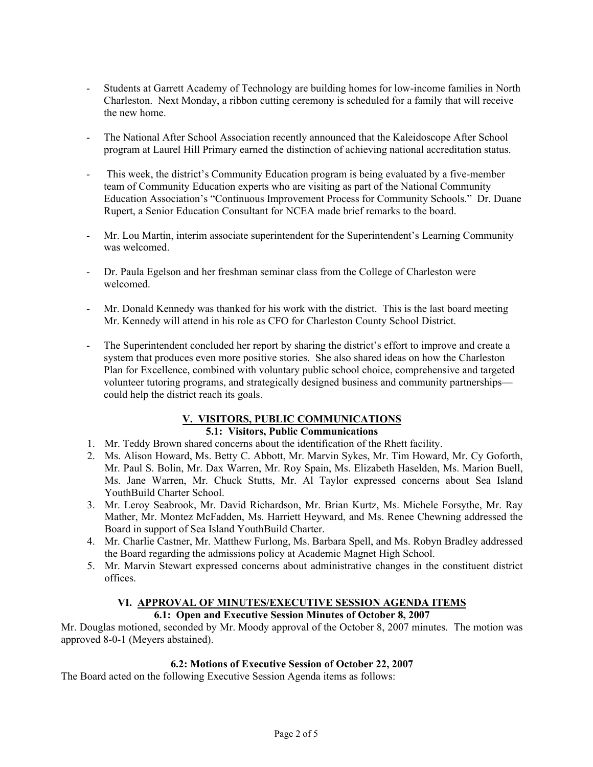- Students at Garrett Academy of Technology are building homes for low-income families in North Charleston. Next Monday, a ribbon cutting ceremony is scheduled for a family that will receive the new home.
- The National After School Association recently announced that the Kaleidoscope After School program at Laurel Hill Primary earned the distinction of achieving national accreditation status.
- This week, the district's Community Education program is being evaluated by a five-member team of Community Education experts who are visiting as part of the National Community Education Association's "Continuous Improvement Process for Community Schools." Dr. Duane Rupert, a Senior Education Consultant for NCEA made brief remarks to the board.
- Mr. Lou Martin, interim associate superintendent for the Superintendent's Learning Community was welcomed.
- Dr. Paula Egelson and her freshman seminar class from the College of Charleston were welcomed.
- Mr. Donald Kennedy was thanked for his work with the district. This is the last board meeting Mr. Kennedy will attend in his role as CFO for Charleston County School District.
- The Superintendent concluded her report by sharing the district's effort to improve and create a system that produces even more positive stories. She also shared ideas on how the Charleston Plan for Excellence, combined with voluntary public school choice, comprehensive and targeted volunteer tutoring programs, and strategically designed business and community partnerships could help the district reach its goals.

# **V. VISITORS, PUBLIC COMMUNICATIONS**

# **5.1: Visitors, Public Communications**

- 1. Mr. Teddy Brown shared concerns about the identification of the Rhett facility.
- 2. Ms. Alison Howard, Ms. Betty C. Abbott, Mr. Marvin Sykes, Mr. Tim Howard, Mr. Cy Goforth, Mr. Paul S. Bolin, Mr. Dax Warren, Mr. Roy Spain, Ms. Elizabeth Haselden, Ms. Marion Buell, Ms. Jane Warren, Mr. Chuck Stutts, Mr. Al Taylor expressed concerns about Sea Island YouthBuild Charter School.
- 3. Mr. Leroy Seabrook, Mr. David Richardson, Mr. Brian Kurtz, Ms. Michele Forsythe, Mr. Ray Mather, Mr. Montez McFadden, Ms. Harriett Heyward, and Ms. Renee Chewning addressed the Board in support of Sea Island YouthBuild Charter.
- 4. Mr. Charlie Castner, Mr. Matthew Furlong, Ms. Barbara Spell, and Ms. Robyn Bradley addressed the Board regarding the admissions policy at Academic Magnet High School.
- 5. Mr. Marvin Stewart expressed concerns about administrative changes in the constituent district offices.

# **VI. APPROVAL OF MINUTES/EXECUTIVE SESSION AGENDA ITEMS**

# **6.1: Open and Executive Session Minutes of October 8, 2007**

Mr. Douglas motioned, seconded by Mr. Moody approval of the October 8, 2007 minutes. The motion was approved 8-0-1 (Meyers abstained).

# **6.2: Motions of Executive Session of October 22, 2007**

The Board acted on the following Executive Session Agenda items as follows: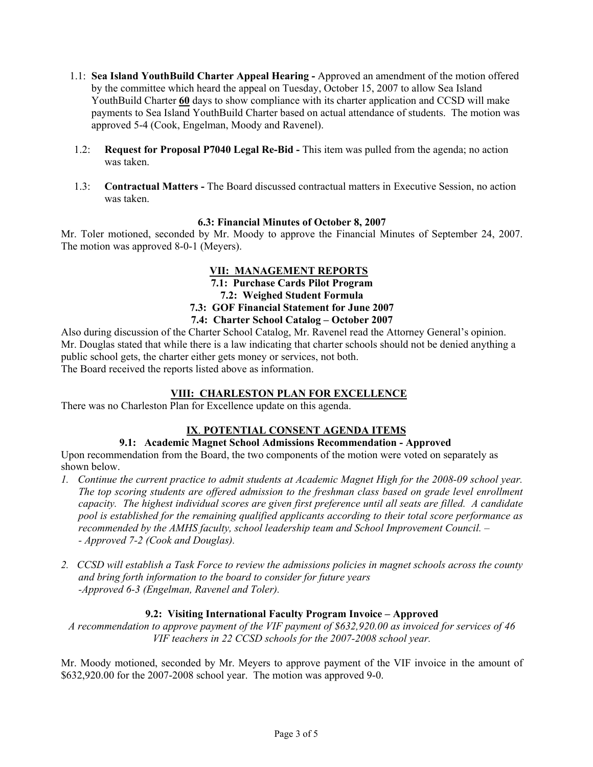- 1.1: **Sea Island YouthBuild Charter Appeal Hearing** Approved an amendment of the motion offered by the committee which heard the appeal on Tuesday, October 15, 2007 to allow Sea Island YouthBuild Charter **60** days to show compliance with its charter application and CCSD will make payments to Sea Island YouthBuild Charter based on actual attendance of students. The motion was approved 5-4 (Cook, Engelman, Moody and Ravenel).
- 1.2: **Request for Proposal P7040 Legal Re-Bid** This item was pulled from the agenda; no action was taken.
- 1.3: **Contractual Matters** The Board discussed contractual matters in Executive Session, no action was taken.

## **6.3: Financial Minutes of October 8, 2007**

Mr. Toler motioned, seconded by Mr. Moody to approve the Financial Minutes of September 24, 2007. The motion was approved 8-0-1 (Meyers).

## **VII: MANAGEMENT REPORTS**

**7.1: Purchase Cards Pilot Program** 

**7.2: Weighed Student Formula** 

## **7.3: GOF Financial Statement for June 2007**

## **7.4: Charter School Catalog – October 2007**

Also during discussion of the Charter School Catalog, Mr. Ravenel read the Attorney General's opinion. Mr. Douglas stated that while there is a law indicating that charter schools should not be denied anything a public school gets, the charter either gets money or services, not both. The Board received the reports listed above as information.

# **VIII: CHARLESTON PLAN FOR EXCELLENCE**

There was no Charleston Plan for Excellence update on this agenda.

# **IX**. **POTENTIAL CONSENT AGENDA ITEMS**

# **9.1: Academic Magnet School Admissions Recommendation - Approved**

Upon recommendation from the Board, the two components of the motion were voted on separately as shown below.

- *1. Continue the current practice to admit students at Academic Magnet High for the 2008-09 school year. The top scoring students are offered admission to the freshman class based on grade level enrollment capacity. The highest individual scores are given first preference until all seats are filled. A candidate pool is established for the remaining qualified applicants according to their total score performance as recommended by the AMHS faculty, school leadership team and School Improvement Council. – - Approved 7-2 (Cook and Douglas).*
- *2. CCSD will establish a Task Force to review the admissions policies in magnet schools across the county and bring forth information to the board to consider for future years -Approved 6-3 (Engelman, Ravenel and Toler).*

## **9.2: Visiting International Faculty Program Invoice – Approved**

*A recommendation to approve payment of the VIF payment of \$632,920.00 as invoiced for services of 46 VIF teachers in 22 CCSD schools for the 2007-2008 school year.* 

Mr. Moody motioned, seconded by Mr. Meyers to approve payment of the VIF invoice in the amount of \$632,920.00 for the 2007-2008 school year. The motion was approved 9-0.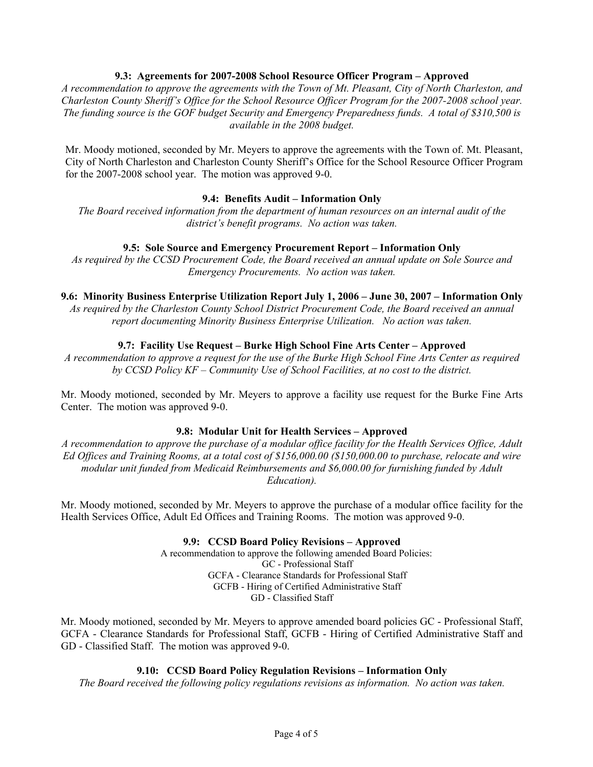## **9.3: Agreements for 2007-2008 School Resource Officer Program – Approved**

*A recommendation to approve the agreements with the Town of Mt. Pleasant, City of North Charleston, and Charleston County Sheriff's Office for the School Resource Officer Program for the 2007-2008 school year. The funding source is the GOF budget Security and Emergency Preparedness funds. A total of \$310,500 is available in the 2008 budget.* 

Mr. Moody motioned, seconded by Mr. Meyers to approve the agreements with the Town of. Mt. Pleasant, City of North Charleston and Charleston County Sheriff's Office for the School Resource Officer Program for the 2007-2008 school year. The motion was approved 9-0.

#### **9.4: Benefits Audit – Information Only**

*The Board received information from the department of human resources on an internal audit of the district's benefit programs. No action was taken.* 

#### **9.5: Sole Source and Emergency Procurement Report – Information Only**

*As required by the CCSD Procurement Code, the Board received an annual update on Sole Source and Emergency Procurements. No action was taken.*

#### **9.6: Minority Business Enterprise Utilization Report July 1, 2006 – June 30, 2007 – Information Only**

*As required by the Charleston County School District Procurement Code, the Board received an annual report documenting Minority Business Enterprise Utilization. No action was taken.* 

## **9.7: Facility Use Request – Burke High School Fine Arts Center – Approved**

*A recommendation to approve a request for the use of the Burke High School Fine Arts Center as required by CCSD Policy KF – Community Use of School Facilities, at no cost to the district.* 

Mr. Moody motioned, seconded by Mr. Meyers to approve a facility use request for the Burke Fine Arts Center. The motion was approved 9-0.

#### **9.8: Modular Unit for Health Services – Approved**

*A recommendation to approve the purchase of a modular office facility for the Health Services Office, Adult Ed Offices and Training Rooms, at a total cost of \$156,000.00 (\$150,000.00 to purchase, relocate and wire modular unit funded from Medicaid Reimbursements and \$6,000.00 for furnishing funded by Adult Education).* 

Mr. Moody motioned, seconded by Mr. Meyers to approve the purchase of a modular office facility for the Health Services Office, Adult Ed Offices and Training Rooms. The motion was approved 9-0.

#### **9.9: CCSD Board Policy Revisions – Approved**

A recommendation to approve the following amended Board Policies: GC - Professional Staff GCFA - Clearance Standards for Professional Staff GCFB - Hiring of Certified Administrative Staff GD - Classified Staff

Mr. Moody motioned, seconded by Mr. Meyers to approve amended board policies GC - Professional Staff, GCFA - Clearance Standards for Professional Staff, GCFB - Hiring of Certified Administrative Staff and GD - Classified Staff. The motion was approved 9-0.

#### **9.10: CCSD Board Policy Regulation Revisions – Information Only**

*The Board received the following policy regulations revisions as information. No action was taken.*